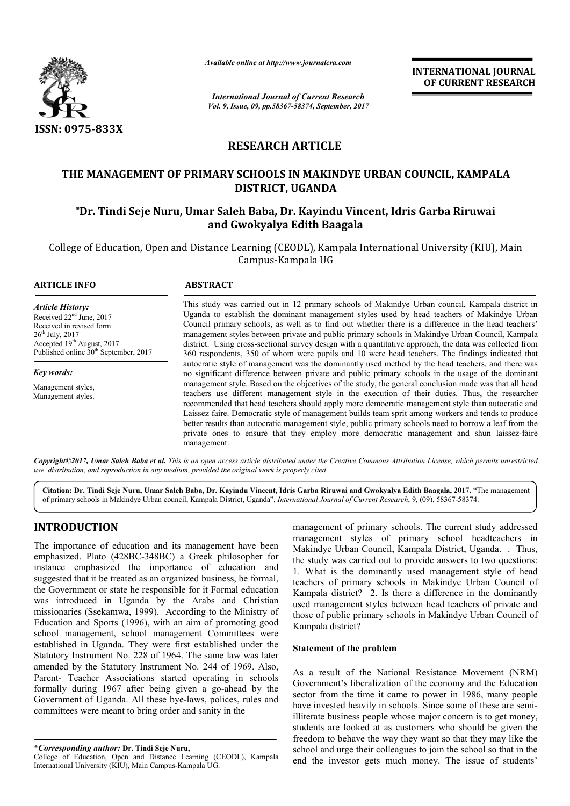

*Available online at http://www.journal http://www.journalcra.com*

# **RESEARCH ARTICLE**

# **THE MANAGEMENT OF PRIMARY SCHOOLS IN MAKINDYE URBAN COUNCIL, KAMPALA**  E MANAGEMENT OF PRIMARY SCHOOLS IN MAKINDYE URBAN COUNCIL, KAMPA!<br>DISTRICT, UGANDA<br>Dr. Tindi Seje Nuru, Umar Saleh Baba, Dr. Kayindu Vincent, Idris Garba Riruwai\* **DISTRICT, UGANDA**

# **and Gwokyalya Edith Baagala**

|                                                                                                                                                                                                                                                                                                                                                                                                                                                                                                                                                                                      | л гипион опине иг нир.// www.journancra.com                                                                                                                                                                                                                                                                                                                                                                                                                                                                                                                                                                                                                                                                                                                                                                                                                                                                                                                                                                                                                                                                                                                                                                                                                                                                                                                                                                                                                                |                                                                                                        | <b>INTERNATIONAL JOURNAL</b><br>OF CURRENT RESEARCH                                                                                                                                                                                                                                                                                                                                                                                                                                                                                                                    |
|--------------------------------------------------------------------------------------------------------------------------------------------------------------------------------------------------------------------------------------------------------------------------------------------------------------------------------------------------------------------------------------------------------------------------------------------------------------------------------------------------------------------------------------------------------------------------------------|----------------------------------------------------------------------------------------------------------------------------------------------------------------------------------------------------------------------------------------------------------------------------------------------------------------------------------------------------------------------------------------------------------------------------------------------------------------------------------------------------------------------------------------------------------------------------------------------------------------------------------------------------------------------------------------------------------------------------------------------------------------------------------------------------------------------------------------------------------------------------------------------------------------------------------------------------------------------------------------------------------------------------------------------------------------------------------------------------------------------------------------------------------------------------------------------------------------------------------------------------------------------------------------------------------------------------------------------------------------------------------------------------------------------------------------------------------------------------|--------------------------------------------------------------------------------------------------------|------------------------------------------------------------------------------------------------------------------------------------------------------------------------------------------------------------------------------------------------------------------------------------------------------------------------------------------------------------------------------------------------------------------------------------------------------------------------------------------------------------------------------------------------------------------------|
|                                                                                                                                                                                                                                                                                                                                                                                                                                                                                                                                                                                      |                                                                                                                                                                                                                                                                                                                                                                                                                                                                                                                                                                                                                                                                                                                                                                                                                                                                                                                                                                                                                                                                                                                                                                                                                                                                                                                                                                                                                                                                            | <b>International Journal of Current Research</b><br>Vol. 9, Issue, 09, pp.58367-58374, September, 2017 |                                                                                                                                                                                                                                                                                                                                                                                                                                                                                                                                                                        |
| ISSN: 0975-833X                                                                                                                                                                                                                                                                                                                                                                                                                                                                                                                                                                      |                                                                                                                                                                                                                                                                                                                                                                                                                                                                                                                                                                                                                                                                                                                                                                                                                                                                                                                                                                                                                                                                                                                                                                                                                                                                                                                                                                                                                                                                            |                                                                                                        |                                                                                                                                                                                                                                                                                                                                                                                                                                                                                                                                                                        |
|                                                                                                                                                                                                                                                                                                                                                                                                                                                                                                                                                                                      | <b>RESEARCH ARTICLE</b>                                                                                                                                                                                                                                                                                                                                                                                                                                                                                                                                                                                                                                                                                                                                                                                                                                                                                                                                                                                                                                                                                                                                                                                                                                                                                                                                                                                                                                                    |                                                                                                        |                                                                                                                                                                                                                                                                                                                                                                                                                                                                                                                                                                        |
|                                                                                                                                                                                                                                                                                                                                                                                                                                                                                                                                                                                      | DISTRICT, UGANDA                                                                                                                                                                                                                                                                                                                                                                                                                                                                                                                                                                                                                                                                                                                                                                                                                                                                                                                                                                                                                                                                                                                                                                                                                                                                                                                                                                                                                                                           |                                                                                                        | THE MANAGEMENT OF PRIMARY SCHOOLS IN MAKINDYE URBAN COUNCIL, KAMPALA                                                                                                                                                                                                                                                                                                                                                                                                                                                                                                   |
|                                                                                                                                                                                                                                                                                                                                                                                                                                                                                                                                                                                      | *Dr. Tindi Seje Nuru, Umar Saleh Baba, Dr. Kayindu Vincent, Idris Garba Riruwai                                                                                                                                                                                                                                                                                                                                                                                                                                                                                                                                                                                                                                                                                                                                                                                                                                                                                                                                                                                                                                                                                                                                                                                                                                                                                                                                                                                            | and Gwokyalya Edith Baagala                                                                            |                                                                                                                                                                                                                                                                                                                                                                                                                                                                                                                                                                        |
|                                                                                                                                                                                                                                                                                                                                                                                                                                                                                                                                                                                      | Campus-Kampala UG                                                                                                                                                                                                                                                                                                                                                                                                                                                                                                                                                                                                                                                                                                                                                                                                                                                                                                                                                                                                                                                                                                                                                                                                                                                                                                                                                                                                                                                          |                                                                                                        | College of Education, Open and Distance Learning (CEODL), Kampala International University (KIU), Main                                                                                                                                                                                                                                                                                                                                                                                                                                                                 |
| <b>ARTICLE INFO</b>                                                                                                                                                                                                                                                                                                                                                                                                                                                                                                                                                                  | <b>ABSTRACT</b>                                                                                                                                                                                                                                                                                                                                                                                                                                                                                                                                                                                                                                                                                                                                                                                                                                                                                                                                                                                                                                                                                                                                                                                                                                                                                                                                                                                                                                                            |                                                                                                        |                                                                                                                                                                                                                                                                                                                                                                                                                                                                                                                                                                        |
| <b>Article History:</b><br>Received 22 <sup>nd</sup> June, 2017<br>Received in revised form<br>26 <sup>th</sup> July, 2017<br>Accepted 19th August, 2017<br>Published online 30 <sup>th</sup> September, 2017                                                                                                                                                                                                                                                                                                                                                                        | This study was carried out in 12 primary schools of Makindye Urban council, Kampala district in<br>Uganda to establish the dominant management styles used by head teachers of Makindye Urban<br>Council primary schools, as well as to find out whether there is a difference in the head teachers'<br>management styles between private and public primary schools in Makindye Urban Council, Kampala<br>district. Using cross-sectional survey design with a quantitative approach, the data was collected from<br>360 respondents, 350 of whom were pupils and 10 were head teachers. The findings indicated that<br>autocratic style of management was the dominantly used method by the head teachers, and there was<br>no significant difference between private and public primary schools in the usage of the dominant<br>management style. Based on the objectives of the study, the general conclusion made was that all head<br>teachers use different management style in the execution of their duties. Thus, the researcher<br>recommended that head teachers should apply more democratic management style than autocratic and<br>Laissez faire. Democratic style of management builds team sprit among workers and tends to produce<br>better results than autocratic management style, public primary schools need to borrow a leaf from the<br>private ones to ensure that they employ more democratic management and shun laissez-faire<br>management. |                                                                                                        |                                                                                                                                                                                                                                                                                                                                                                                                                                                                                                                                                                        |
| <b>Key words:</b><br>Management styles,<br>Management styles.                                                                                                                                                                                                                                                                                                                                                                                                                                                                                                                        |                                                                                                                                                                                                                                                                                                                                                                                                                                                                                                                                                                                                                                                                                                                                                                                                                                                                                                                                                                                                                                                                                                                                                                                                                                                                                                                                                                                                                                                                            |                                                                                                        |                                                                                                                                                                                                                                                                                                                                                                                                                                                                                                                                                                        |
| use, distribution, and reproduction in any medium, provided the original work is properly cited.                                                                                                                                                                                                                                                                                                                                                                                                                                                                                     |                                                                                                                                                                                                                                                                                                                                                                                                                                                                                                                                                                                                                                                                                                                                                                                                                                                                                                                                                                                                                                                                                                                                                                                                                                                                                                                                                                                                                                                                            |                                                                                                        | Copyright©2017, Umar Saleh Baba et al. This is an open access article distributed under the Creative Commons Attribution License, which permits unrestricted                                                                                                                                                                                                                                                                                                                                                                                                           |
| of primary schools in Makindye Urban council, Kampala District, Uganda", International Journal of Current Research, 9, (09), 58367-58374.                                                                                                                                                                                                                                                                                                                                                                                                                                            |                                                                                                                                                                                                                                                                                                                                                                                                                                                                                                                                                                                                                                                                                                                                                                                                                                                                                                                                                                                                                                                                                                                                                                                                                                                                                                                                                                                                                                                                            |                                                                                                        | Citation: Dr. Tindi Seje Nuru, Umar Saleh Baba, Dr. Kayindu Vincent, Idris Garba Riruwai and Gwokyalya Edith Baagala, 2017. "The management                                                                                                                                                                                                                                                                                                                                                                                                                            |
| <b>INTRODUCTION</b><br>The importance of education and its management have been<br>emphasized. Plato (428BC-348BC) a Greek philosopher for<br>instance emphasized the importance of education and<br>suggested that it be treated as an organized business, be formal,<br>the Government or state he responsible for it Formal education<br>was introduced in Uganda by the Arabs and Christian<br>missionaries (Ssekamwa, 1999). According to the Ministry of<br>Education and Sports (1996), with an aim of promoting good<br>school management, school management Committees were |                                                                                                                                                                                                                                                                                                                                                                                                                                                                                                                                                                                                                                                                                                                                                                                                                                                                                                                                                                                                                                                                                                                                                                                                                                                                                                                                                                                                                                                                            | Kampala district?                                                                                      | management of primary schools. The current study addressed<br>management styles of primary school headteachers in<br>Makindye Urban Council, Kampala District, Uganda. . Thus,<br>the study was carried out to provide answers to two questions:<br>1. What is the dominantly used management style of head<br>teachers of primary schools in Makindye Urban Council of<br>Kampala district? 2. Is there a difference in the dominantly<br>used management styles between head teachers of private and<br>those of public primary schools in Makindye Urban Council of |
| established in Uganda. They were first established under the<br>Statutory Instrument No. 228 of 1964. The same law was later<br>amended by the Statutory Instrument No. 244 of 1969. Also,<br>Parent- Teacher Associations started operating in schools<br>formally during 1967 after being given a go-ahead by the<br>Government of Uganda. All these bye-laws, polices, rules and<br>committees were meant to bring order and sanity in the<br>*Corresponding author: Dr. Tindi Seje Nuru,                                                                                         |                                                                                                                                                                                                                                                                                                                                                                                                                                                                                                                                                                                                                                                                                                                                                                                                                                                                                                                                                                                                                                                                                                                                                                                                                                                                                                                                                                                                                                                                            | <b>Statement of the problem</b>                                                                        | As a result of the National Resistance Movement (NRM)<br>Government's liberalization of the economy and the Education<br>sector from the time it came to power in 1986, many people<br>have invested heavily in schools. Since some of these are semi-<br>illiterate business people whose major concern is to get money,<br>students are looked at as customers who should be given the<br>freedom to behave the way they want so that they may like the<br>school and urge their colleagues to join the school so that in the                                        |
| College of Education, Open and Distance Learning (CEODL), Kampala<br>ol University ( $V \times V$ Moin Compus Vompelo UC                                                                                                                                                                                                                                                                                                                                                                                                                                                             |                                                                                                                                                                                                                                                                                                                                                                                                                                                                                                                                                                                                                                                                                                                                                                                                                                                                                                                                                                                                                                                                                                                                                                                                                                                                                                                                                                                                                                                                            |                                                                                                        | end the investor gets much money. The issue of students'                                                                                                                                                                                                                                                                                                                                                                                                                                                                                                               |

# **INTRODUCTION**

# **Statement of the problem**

College of Education, Open and Distance Learning (CEODL), Kampala International University (KIU), Main Campus-Kampala UG.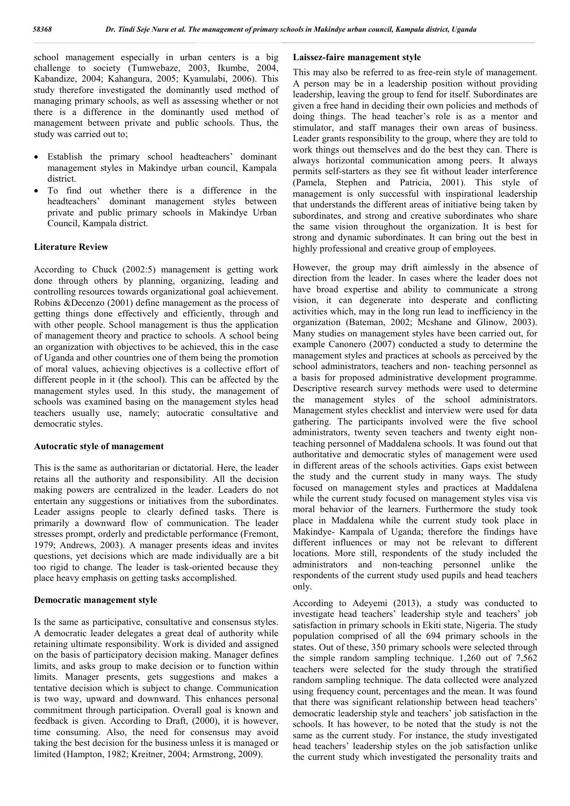school management especially in urban centers is a big challenge to society (Tumwebaze, 2003, Ikumbe, 2004, Kabandize, 2004; Kahangura, 2005; Kyamulabi, 2006). This study therefore investigated the dominantly used method of managing primary schools, as well as assessing whether or not there is a difference in the dominantly used method of management between private and public schools. Thus, the study was carried out to;

- Establish the primary school headteachers' dominant management styles in Makindye urban council, Kampala district.
- To find out whether there is a difference in the headteachers' dominant management styles between private and public primary schools in Makindye Urban Council, Kampala district.

#### **Literature Review**

According to Chuck (2002:5) management is getting work done through others by planning, organizing, leading and controlling resources towards organizational goal achievement. Robins &Decenzo (2001) define management as the process of getting things done effectively and efficiently, through and with other people. School management is thus the application of management theory and practice to schools. A school being an organization with objectives to be achieved, this in the case of Uganda and other countries one of them being the promotion of moral values, achieving objectives is a collective effort of different people in it (the school). This can be affected by the management styles used. In this study, the management of schools was examined basing on the management styles head teachers usually use, namely; autocratic consultative and democratic styles.

## **Autocratic style of management**

This is the same as authoritarian or dictatorial. Here, the leader retains all the authority and responsibility. All the decision making powers are centralized in the leader. Leaders do not entertain any suggestions or initiatives from the subordinates. Leader assigns people to clearly defined tasks. There is primarily a downward flow of communication. The leader stresses prompt, orderly and predictable performance (Fremont, 1979; Andrews, 2003). A manager presents ideas and invites questions, yet decisions which are made individually are a bit too rigid to change. The leader is task-oriented because they place heavy emphasis on getting tasks accomplished.

#### **Democratic management style**

Is the same as participative, consultative and consensus styles. A democratic leader delegates a great deal of authority while retaining ultimate responsibility. Work is divided and assigned on the basis of participatory decision making. Manager defines limits, and asks group to make decision or to function within limits. Manager presents, gets suggestions and makes a tentative decision which is subject to change. Communication is two way, upward and downward. This enhances personal commitment through participation. Overall goal is known and feedback is given. According to Draft, (2000), it is however, time consuming. Also, the need for consensus may avoid taking the best decision for the business unless it is managed or limited (Hampton, 1982; Kreitner, 2004; Armstrong, 2009).

#### **Laissez-faire management style**

This may also be referred to as free-rein style of management. A person may be in a leadership position without providing leadership, leaving the group to fend for itself. Subordinates are given a free hand in deciding their own policies and methods of doing things. The head teacher's role is as a mentor and stimulator, and staff manages their own areas of business. Leader grants responsibility to the group, where they are told to work things out themselves and do the best they can. There is always horizontal communication among peers. It always permits self-starters as they see fit without leader interference (Pamela, Stephen and Patricia, 2001). This style of management is only successful with inspirational leadership that understands the different areas of initiative being taken by subordinates, and strong and creative subordinates who share the same vision throughout the organization. It is best for strong and dynamic subordinates. It can bring out the best in highly professional and creative group of employees.

However, the group may drift aimlessly in the absence of direction from the leader. In cases where the leader does not have broad expertise and ability to communicate a strong vision, it can degenerate into desperate and conflicting activities which, may in the long run lead to inefficiency in the organization (Bateman, 2002; Mcshane and Glinow, 2003). Many studies on management styles have been carried out, for example Canonero (2007) conducted a study to determine the management styles and practices at schools as perceived by the school administrators, teachers and non- teaching personnel as a basis for proposed administrative development programme. Descriptive research survey methods were used to determine the management styles of the school administrators. Management styles checklist and interview were used for data gathering. The participants involved were the five school administrators, twenty seven teachers and twenty eight nonteaching personnel of Maddalena schools. It was found out that authoritative and democratic styles of management were used in different areas of the schools activities. Gaps exist between the study and the current study in many ways. The study focused on management styles and practices at Maddalena while the current study focused on management styles visa vis moral behavior of the learners. Furthermore the study took place in Maddalena while the current study took place in Makindye- Kampala of Uganda; therefore the findings have different influences or may not be relevant to different locations. More still, respondents of the study included the administrators and non-teaching personnel unlike the respondents of the current study used pupils and head teachers only.

According to Adeyemi (2013), a study was conducted to investigate head teachers' leadership style and teachers' job satisfaction in primary schools in Ekiti state, Nigeria. The study population comprised of all the 694 primary schools in the states. Out of these, 350 primary schools were selected through the simple random sampling technique. 1,260 out of 7,562 teachers were selected for the study through the stratified random sampling technique. The data collected were analyzed using frequency count, percentages and the mean. It was found that there was significant relationship between head teachers' democratic leadership style and teachers' job satisfaction in the schools. It has however, to be noted that the study is not the same as the current study. For instance, the study investigated head teachers' leadership styles on the job satisfaction unlike the current study which investigated the personality traits and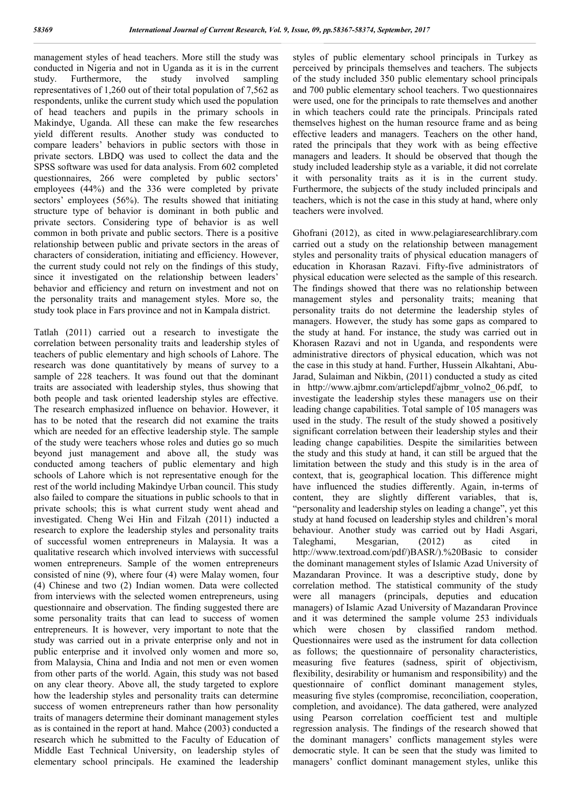management styles of head teachers. More still the study was conducted in Nigeria and not in Uganda as it is in the current study. Furthermore, the study involved sampling representatives of 1,260 out of their total population of 7,562 as respondents, unlike the current study which used the population of head teachers and pupils in the primary schools in Makindye, Uganda. All these can make the few researches yield different results. Another study was conducted to compare leaders' behaviors in public sectors with those in private sectors. LBDQ was used to collect the data and the SPSS software was used for data analysis. From 602 completed questionnaires, 266 were completed by public sectors' employees (44%) and the 336 were completed by private sectors' employees (56%). The results showed that initiating structure type of behavior is dominant in both public and private sectors. Considering type of behavior is as well common in both private and public sectors. There is a positive relationship between public and private sectors in the areas of characters of consideration, initiating and efficiency. However, the current study could not rely on the findings of this study, since it investigated on the relationship between leaders' behavior and efficiency and return on investment and not on the personality traits and management styles. More so, the study took place in Fars province and not in Kampala district.

Tatlah (2011) carried out a research to investigate the correlation between personality traits and leadership styles of teachers of public elementary and high schools of Lahore. The research was done quantitatively by means of survey to a sample of 228 teachers. It was found out that the dominant traits are associated with leadership styles, thus showing that both people and task oriented leadership styles are effective. The research emphasized influence on behavior. However, it has to be noted that the research did not examine the traits which are needed for an effective leadership style. The sample of the study were teachers whose roles and duties go so much beyond just management and above all, the study was conducted among teachers of public elementary and high schools of Lahore which is not representative enough for the rest of the world including Makindye Urban council. This study also failed to compare the situations in public schools to that in private schools; this is what current study went ahead and investigated. Cheng Wei Hin and Filzah (2011) inducted a research to explore the leadership styles and personality traits of successful women entrepreneurs in Malaysia. It was a qualitative research which involved interviews with successful women entrepreneurs. Sample of the women entrepreneurs consisted of nine (9), where four (4) were Malay women, four (4) Chinese and two (2) Indian women. Data were collected from interviews with the selected women entrepreneurs, using questionnaire and observation. The finding suggested there are some personality traits that can lead to success of women entrepreneurs. It is however, very important to note that the study was carried out in a private enterprise only and not in public enterprise and it involved only women and more so, from Malaysia, China and India and not men or even women from other parts of the world. Again, this study was not based on any clear theory. Above all, the study targeted to explore how the leadership styles and personality traits can determine success of women entrepreneurs rather than how personality traits of managers determine their dominant management styles as is contained in the report at hand. Mahce (2003) conducted a research which he submitted to the Faculty of Education of Middle East Technical University, on leadership styles of elementary school principals. He examined the leadership

styles of public elementary school principals in Turkey as perceived by principals themselves and teachers. The subjects of the study included 350 public elementary school principals and 700 public elementary school teachers. Two questionnaires were used, one for the principals to rate themselves and another in which teachers could rate the principals. Principals rated themselves highest on the human resource frame and as being effective leaders and managers. Teachers on the other hand, rated the principals that they work with as being effective managers and leaders. It should be observed that though the study included leadership style as a variable, it did not correlate it with personality traits as it is in the current study. Furthermore, the subjects of the study included principals and teachers, which is not the case in this study at hand, where only teachers were involved.

Ghofrani (2012), as cited in www.pelagiaresearchlibrary.com carried out a study on the relationship between management styles and personality traits of physical education managers of education in Khorasan Razavi. Fifty-five administrators of physical education were selected as the sample of this research. The findings showed that there was no relationship between management styles and personality traits; meaning that personality traits do not determine the leadership styles of managers. However, the study has some gaps as compared to the study at hand. For instance, the study was carried out in Khorasen Razavi and not in Uganda, and respondents were administrative directors of physical education, which was not the case in this study at hand. Further, Hussein Alkahtani, Abu-Jarad, Sulaiman and Nikbin, (2011) conducted a study as cited in http://www.ajbmr.com/articlepdf/ajbmr\_volno2\_06.pdf, to investigate the leadership styles these managers use on their leading change capabilities. Total sample of 105 managers was used in the study. The result of the study showed a positively significant correlation between their leadership styles and their leading change capabilities. Despite the similarities between the study and this study at hand, it can still be argued that the limitation between the study and this study is in the area of context, that is, geographical location. This difference might have influenced the studies differently. Again, in-terms of content, they are slightly different variables, that is, "personality and leadership styles on leading a change", yet this study at hand focused on leadership styles and children's moral behaviour. Another study was carried out by Hadi Asgari, Taleghami, Mesgarian, (2012) as cited in http://www.textroad.com/pdf/)BASR/).%20Basic to consider the dominant management styles of Islamic Azad University of Mazandaran Province. It was a descriptive study, done by correlation method. The statistical community of the study were all managers (principals, deputies and education managers) of Islamic Azad University of Mazandaran Province and it was determined the sample volume 253 individuals which were chosen by classified random method. Questionnaires were used as the instrument for data collection as follows; the questionnaire of personality characteristics, measuring five features (sadness, spirit of objectivism, flexibility, desirability or humanism and responsibility) and the questionnaire of conflict dominant management styles, measuring five styles (compromise, reconciliation, cooperation, completion, and avoidance). The data gathered, were analyzed using Pearson correlation coefficient test and multiple regression analysis. The findings of the research showed that the dominant managers' conflicts management styles were democratic style. It can be seen that the study was limited to managers' conflict dominant management styles, unlike this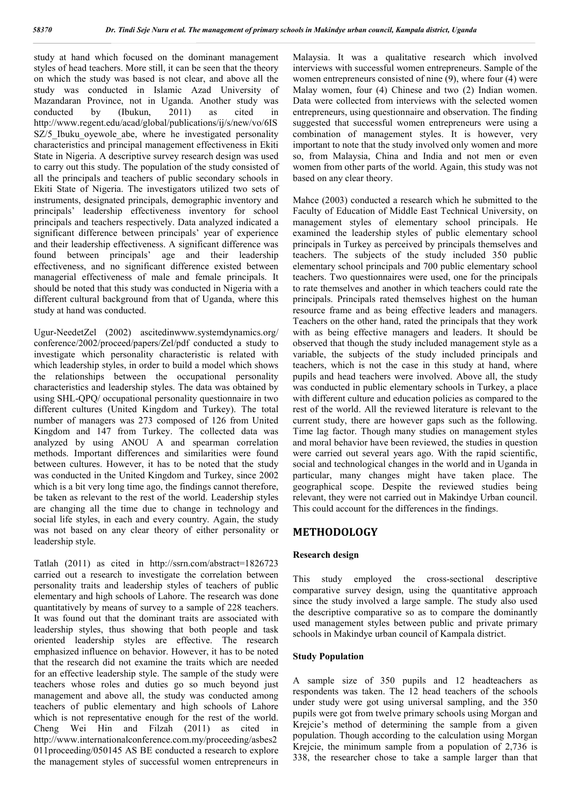study at hand which focused on the dominant management styles of head teachers. More still, it can be seen that the theory on which the study was based is not clear, and above all the study was conducted in Islamic Azad University of Mazandaran Province, not in Uganda. Another study was conducted by (Ibukun, 2011) as cited in http://www.regent.edu/acad/global/publications/ij/s/new/vo/6IS SZ/5 Ibuku ovewole abe, where he investigated personality characteristics and principal management effectiveness in Ekiti State in Nigeria. A descriptive survey research design was used to carry out this study. The population of the study consisted of all the principals and teachers of public secondary schools in Ekiti State of Nigeria. The investigators utilized two sets of instruments, designated principals, demographic inventory and principals' leadership effectiveness inventory for school principals and teachers respectively. Data analyzed indicated a significant difference between principals' year of experience and their leadership effectiveness. A significant difference was found between principals' age and their leadership effectiveness, and no significant difference existed between managerial effectiveness of male and female principals. It should be noted that this study was conducted in Nigeria with a different cultural background from that of Uganda, where this study at hand was conducted.

Ugur-NeedetZel (2002) ascitedinwww.systemdynamics.org/ conference/2002/proceed/papers/Zel/pdf conducted a study to investigate which personality characteristic is related with which leadership styles, in order to build a model which shows the relationships between the occupational personality characteristics and leadership styles. The data was obtained by using SHL-QPQ/ occupational personality questionnaire in two different cultures (United Kingdom and Turkey). The total number of managers was 273 composed of 126 from United Kingdom and 147 from Turkey. The collected data was analyzed by using ANOU A and spearman correlation methods. Important differences and similarities were found between cultures. However, it has to be noted that the study was conducted in the United Kingdom and Turkey, since 2002 which is a bit very long time ago, the findings cannot therefore, be taken as relevant to the rest of the world. Leadership styles are changing all the time due to change in technology and social life styles, in each and every country. Again, the study was not based on any clear theory of either personality or leadership style.

Tatlah (2011) as cited in http://ssrn.com/abstract=1826723 carried out a research to investigate the correlation between personality traits and leadership styles of teachers of public elementary and high schools of Lahore. The research was done quantitatively by means of survey to a sample of 228 teachers. It was found out that the dominant traits are associated with leadership styles, thus showing that both people and task oriented leadership styles are effective. The research emphasized influence on behavior. However, it has to be noted that the research did not examine the traits which are needed for an effective leadership style. The sample of the study were teachers whose roles and duties go so much beyond just management and above all, the study was conducted among teachers of public elementary and high schools of Lahore which is not representative enough for the rest of the world. Cheng Wei Hin and Filzah (2011) as cited in http://www.internationalconference.com.my/proceeding/asbes2 011proceeding/050145 AS BE conducted a research to explore the management styles of successful women entrepreneurs in Malaysia. It was a qualitative research which involved interviews with successful women entrepreneurs. Sample of the women entrepreneurs consisted of nine (9), where four (4) were Malay women, four (4) Chinese and two (2) Indian women. Data were collected from interviews with the selected women entrepreneurs, using questionnaire and observation. The finding suggested that successful women entrepreneurs were using a combination of management styles. It is however, very important to note that the study involved only women and more so, from Malaysia, China and India and not men or even women from other parts of the world. Again, this study was not based on any clear theory.

Mahce (2003) conducted a research which he submitted to the Faculty of Education of Middle East Technical University, on management styles of elementary school principals. He examined the leadership styles of public elementary school principals in Turkey as perceived by principals themselves and teachers. The subjects of the study included 350 public elementary school principals and 700 public elementary school teachers. Two questionnaires were used, one for the principals to rate themselves and another in which teachers could rate the principals. Principals rated themselves highest on the human resource frame and as being effective leaders and managers. Teachers on the other hand, rated the principals that they work with as being effective managers and leaders. It should be observed that though the study included management style as a variable, the subjects of the study included principals and teachers, which is not the case in this study at hand, where pupils and head teachers were involved. Above all, the study was conducted in public elementary schools in Turkey, a place with different culture and education policies as compared to the rest of the world. All the reviewed literature is relevant to the current study, there are however gaps such as the following. Time lag factor. Though many studies on management styles and moral behavior have been reviewed, the studies in question were carried out several years ago. With the rapid scientific, social and technological changes in the world and in Uganda in particular, many changes might have taken place. The geographical scope. Despite the reviewed studies being relevant, they were not carried out in Makindye Urban council. This could account for the differences in the findings.

# **METHODOLOGY**

# **Research design**

This study employed the cross-sectional descriptive comparative survey design, using the quantitative approach since the study involved a large sample. The study also used the descriptive comparative so as to compare the dominantly used management styles between public and private primary schools in Makindye urban council of Kampala district.

# **Study Population**

A sample size of 350 pupils and 12 headteachers as respondents was taken. The 12 head teachers of the schools under study were got using universal sampling, and the 350 pupils were got from twelve primary schools using Morgan and Krejcie's method of determining the sample from a given population. Though according to the calculation using Morgan Krejcie, the minimum sample from a population of 2,736 is 338, the researcher chose to take a sample larger than that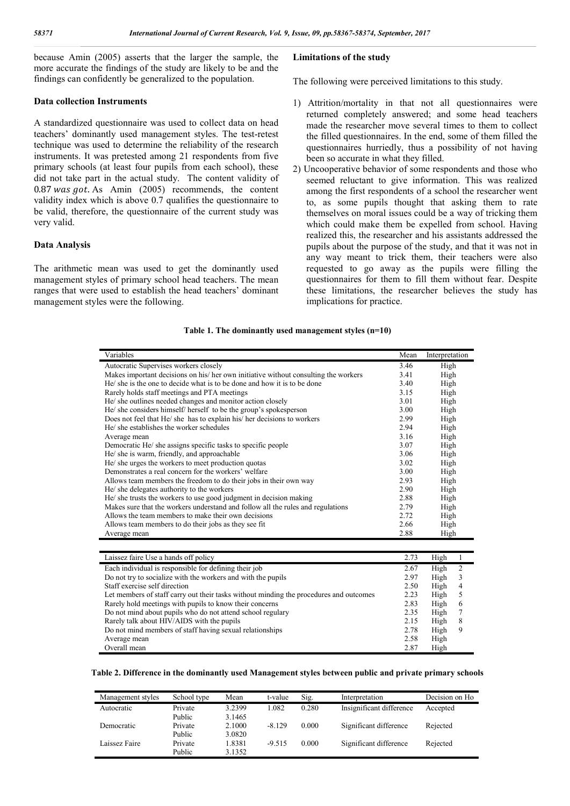because Amin (2005) asserts that the larger the sample, the more accurate the findings of the study are likely to be and the findings can confidently be generalized to the population.

#### **Data collection Instruments**

A standardized questionnaire was used to collect data on head teachers' dominantly used management styles. The test-retest technique was used to determine the reliability of the research instruments. It was pretested among 21 respondents from five primary schools (at least four pupils from each school), these did not take part in the actual study. The content validity of  $0.87$  was got. As Amin (2005) recommends, the content validity index which is above 0.7 qualifies the questionnaire to be valid, therefore, the questionnaire of the current study was very valid.

#### **Data Analysis**

The arithmetic mean was used to get the dominantly used management styles of primary school head teachers. The mean ranges that were used to establish the head teachers' dominant management styles were the following.

#### **Limitations of the study**

The following were perceived limitations to this study.

- 1) Attrition/mortality in that not all questionnaires were returned completely answered; and some head teachers made the researcher move several times to them to collect the filled questionnaires. In the end, some of them filled the questionnaires hurriedly, thus a possibility of not having been so accurate in what they filled.
- 2) Uncooperative behavior of some respondents and those who seemed reluctant to give information. This was realized among the first respondents of a school the researcher went to, as some pupils thought that asking them to rate themselves on moral issues could be a way of tricking them which could make them be expelled from school. Having realized this, the researcher and his assistants addressed the pupils about the purpose of the study, and that it was not in any way meant to trick them, their teachers were also requested to go away as the pupils were filling the questionnaires for them to fill them without fear. Despite these limitations, the researcher believes the study has implications for practice.

#### **Table 1. The dominantly used management styles (n=10)**

| Variables                                                                          | Mean                 | Interpretation         |  |
|------------------------------------------------------------------------------------|----------------------|------------------------|--|
| Autocratic Supervises workers closely                                              | 3.46                 | High                   |  |
| Makes important decisions on his/her own initiative without consulting the workers | 3.41                 | High                   |  |
| He' she is the one to decide what is to be done and how it is to be done           | 3.40                 | High                   |  |
| Rarely holds staff meetings and PTA meetings                                       | 3.15                 | High                   |  |
| He/ she outlines needed changes and monitor action closely                         | 3.01                 | High                   |  |
| He/ she considers himself/ herself to be the group's spokesperson                  | 3.00                 | High                   |  |
| Does not feel that He/ she has to explain his/ her decisions to workers            | 2.99                 | High                   |  |
| He/ she establishes the worker schedules                                           | 2.94                 | High                   |  |
| Average mean                                                                       | 3.16                 | High                   |  |
| Democratic He/ she assigns specific tasks to specific people                       | 3.07                 | High                   |  |
| He/ she is warm, friendly, and approachable                                        | 3.06                 | High                   |  |
| He/ she urges the workers to meet production quotas                                | 3.02                 | High                   |  |
| Demonstrates a real concern for the workers' welfare                               |                      | High                   |  |
| Allows team members the freedom to do their jobs in their own way                  |                      | High                   |  |
| He/ she delegates authority to the workers                                         |                      | High                   |  |
| He/ she trusts the workers to use good judgment in decision making                 |                      | High                   |  |
| Makes sure that the workers understand and follow all the rules and regulations    |                      | High                   |  |
| Allows the team members to make their own decisions                                |                      | High                   |  |
| Allows team members to do their jobs as they see fit.                              |                      | High                   |  |
| Average mean                                                                       |                      | High                   |  |
|                                                                                    |                      |                        |  |
| Laissez faire Use a hands off policy                                               | 2.73                 | High                   |  |
| Each individual is responsible for defining their job                              | 2.67                 | $\overline{2}$<br>High |  |
| Do not try to socialize with the workers and with the pupils                       | 2.97                 | 3<br>High              |  |
| $\sim$ 10 $\sim$ 11 $\sim$ 11                                                      | $\sim$ $\sim$ $\sim$ | $TT' - 1$              |  |

| Do not try to socialize with the workers and with the pupils                           | 2.YI | High. |                |  |
|----------------------------------------------------------------------------------------|------|-------|----------------|--|
| Staff exercise self direction                                                          | 2.50 | High  | $\overline{4}$ |  |
| Let members of staff carry out their tasks without minding the procedures and outcomes | 2.23 | High  | 5              |  |
| Rarely hold meetings with pupils to know their concerns                                | 2.83 | High  | -6             |  |
| Do not mind about pupils who do not attend school regulary                             | 2.35 | High  |                |  |
| Rarely talk about HIV/AIDS with the pupils                                             | 2.15 | High  | -8             |  |
| Do not mind members of staff having sexual relationships                               | 2.78 | High  | 9              |  |
| Average mean                                                                           | 2.58 | High  |                |  |
| Overall mean                                                                           | 2.87 | High  |                |  |
|                                                                                        |      |       |                |  |

#### **Table 2. Difference in the dominantly used Management styles between public and private primary schools**

| Management styles | School type | Mean   | t-value  | Sig.  | Interpretation           | Decision on Ho |
|-------------------|-------------|--------|----------|-------|--------------------------|----------------|
| Autocratic        | Private     | 3.2399 | 1.082    | 0.280 | Insignificant difference | Accepted       |
|                   | Public      | 3.1465 |          |       |                          |                |
| Democratic        | Private     | 2.1000 | $-8.129$ | 0.000 | Significant difference   | Rejected       |
|                   | Public      | 3.0820 |          |       |                          |                |
| Laissez Faire     | Private     | 1.8381 | $-9.515$ | 0.000 | Significant difference   | Rejected       |
|                   | Public      | 3.1352 |          |       |                          |                |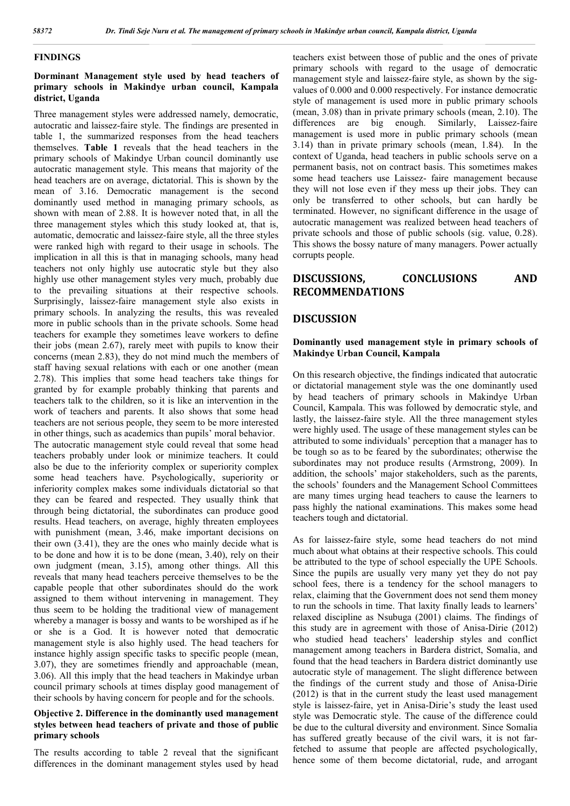#### **FINDINGS**

## **Dorminant Management style used by head teachers of primary schools in Makindye urban council, Kampala district, Uganda**

Three management styles were addressed namely, democratic, autocratic and laissez-faire style. The findings are presented in table 1, the summarized responses from the head teachers themselves. **Table 1** reveals that the head teachers in the primary schools of Makindye Urban council dominantly use autocratic management style. This means that majority of the head teachers are on average, dictatorial. This is shown by the mean of 3.16. Democratic management is the second dominantly used method in managing primary schools, as shown with mean of 2.88. It is however noted that, in all the three management styles which this study looked at, that is, automatic, democratic and laissez-faire style, all the three styles were ranked high with regard to their usage in schools. The implication in all this is that in managing schools, many head teachers not only highly use autocratic style but they also highly use other management styles very much, probably due to the prevailing situations at their respective schools. Surprisingly, laissez-faire management style also exists in primary schools. In analyzing the results, this was revealed more in public schools than in the private schools. Some head teachers for example they sometimes leave workers to define their jobs (mean 2.67), rarely meet with pupils to know their concerns (mean 2.83), they do not mind much the members of staff having sexual relations with each or one another (mean 2.78). This implies that some head teachers take things for granted by for example probably thinking that parents and teachers talk to the children, so it is like an intervention in the work of teachers and parents. It also shows that some head teachers are not serious people, they seem to be more interested in other things, such as academics than pupils' moral behavior. The autocratic management style could reveal that some head teachers probably under look or minimize teachers. It could also be due to the inferiority complex or superiority complex some head teachers have. Psychologically, superiority or inferiority complex makes some individuals dictatorial so that they can be feared and respected. They usually think that through being dictatorial, the subordinates can produce good results. Head teachers, on average, highly threaten employees with punishment (mean, 3.46, make important decisions on their own (3.41), they are the ones who mainly decide what is to be done and how it is to be done (mean, 3.40), rely on their own judgment (mean, 3.15), among other things. All this reveals that many head teachers perceive themselves to be the capable people that other subordinates should do the work assigned to them without intervening in management. They thus seem to be holding the traditional view of management whereby a manager is bossy and wants to be worshiped as if he or she is a God. It is however noted that democratic management style is also highly used. The head teachers for instance highly assign specific tasks to specific people (mean, 3.07), they are sometimes friendly and approachable (mean, 3.06). All this imply that the head teachers in Makindye urban council primary schools at times display good management of their schools by having concern for people and for the schools.

## **Objective 2. Difference in the dominantly used management styles between head teachers of private and those of public primary schools**

The results according to table 2 reveal that the significant differences in the dominant management styles used by head

teachers exist between those of public and the ones of private primary schools with regard to the usage of democratic management style and laissez-faire style, as shown by the sigvalues of 0.000 and 0.000 respectively. For instance democratic style of management is used more in public primary schools (mean, 3.08) than in private primary schools (mean, 2.10). The differences are big enough. Similarly, Laissez-faire management is used more in public primary schools (mean 3.14) than in private primary schools (mean, 1.84). In the context of Uganda, head teachers in public schools serve on a permanent basis, not on contract basis. This sometimes makes some head teachers use Laissez- faire management because they will not lose even if they mess up their jobs. They can only be transferred to other schools, but can hardly be terminated. However, no significant difference in the usage of autocratic management was realized between head teachers of private schools and those of public schools (sig. value, 0.28). This shows the bossy nature of many managers. Power actually corrupts people.

# **DISCUSSIONS, CONCLUSIONS AND RECOMMENDATIONS**

## **DISCUSSION**

#### **Dominantly used management style in primary schools of Makindye Urban Council, Kampala**

On this research objective, the findings indicated that autocratic or dictatorial management style was the one dominantly used by head teachers of primary schools in Makindye Urban Council, Kampala. This was followed by democratic style, and lastly, the laissez-faire style. All the three management styles were highly used. The usage of these management styles can be attributed to some individuals' perception that a manager has to be tough so as to be feared by the subordinates; otherwise the subordinates may not produce results (Armstrong, 2009). In addition, the schools' major stakeholders, such as the parents, the schools' founders and the Management School Committees are many times urging head teachers to cause the learners to pass highly the national examinations. This makes some head teachers tough and dictatorial.

As for laissez-faire style, some head teachers do not mind much about what obtains at their respective schools. This could be attributed to the type of school especially the UPE Schools. Since the pupils are usually very many yet they do not pay school fees, there is a tendency for the school managers to relax, claiming that the Government does not send them money to run the schools in time. That laxity finally leads to learners' relaxed discipline as Nsubuga (2001) claims. The findings of this study are in agreement with those of Anisa-Dirie (2012) who studied head teachers' leadership styles and conflict management among teachers in Bardera district, Somalia, and found that the head teachers in Bardera district dominantly use autocratic style of management. The slight difference between the findings of the current study and those of Anisa-Dirie (2012) is that in the current study the least used management style is laissez-faire, yet in Anisa-Dirie's study the least used style was Democratic style. The cause of the difference could be due to the cultural diversity and environment. Since Somalia has suffered greatly because of the civil wars, it is not farfetched to assume that people are affected psychologically, hence some of them become dictatorial, rude, and arrogant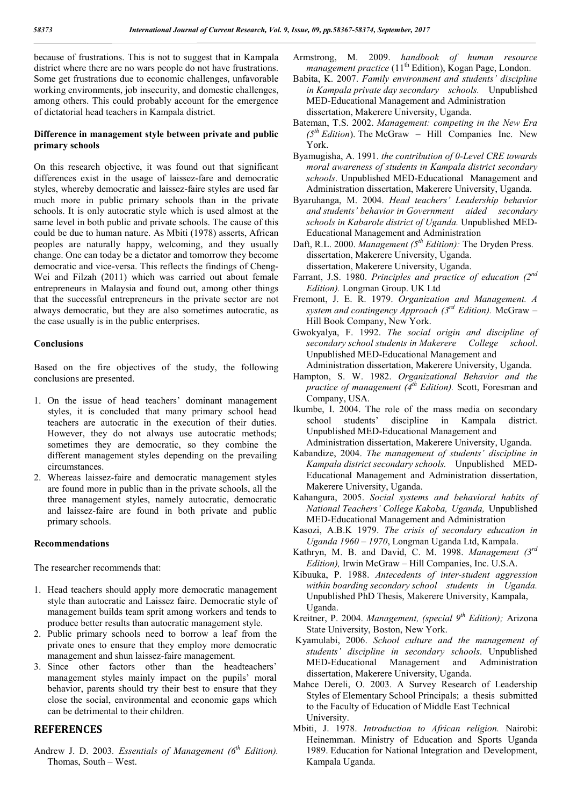because of frustrations. This is not to suggest that in Kampala district where there are no wars people do not have frustrations. Some get frustrations due to economic challenges, unfavorable working environments, job insecurity, and domestic challenges, among others. This could probably account for the emergence of dictatorial head teachers in Kampala district.

# **Difference in management style between private and public primary schools**

On this research objective, it was found out that significant differences exist in the usage of laissez-fare and democratic styles, whereby democratic and laissez-faire styles are used far much more in public primary schools than in the private schools. It is only autocratic style which is used almost at the same level in both public and private schools. The cause of this could be due to human nature. As Mbiti (1978) asserts, African peoples are naturally happy, welcoming, and they usually change. One can today be a dictator and tomorrow they become democratic and vice-versa. This reflects the findings of Cheng-Wei and Filzah (2011) which was carried out about female entrepreneurs in Malaysia and found out, among other things that the successful entrepreneurs in the private sector are not always democratic, but they are also sometimes autocratic, as the case usually is in the public enterprises.

# **Conclusions**

Based on the fire objectives of the study, the following conclusions are presented.

- 1. On the issue of head teachers' dominant management styles, it is concluded that many primary school head teachers are autocratic in the execution of their duties. However, they do not always use autocratic methods; sometimes they are democratic, so they combine the different management styles depending on the prevailing circumstances.
- 2. Whereas laissez-faire and democratic management styles are found more in public than in the private schools, all the three management styles, namely autocratic, democratic and laissez-faire are found in both private and public primary schools.

# **Recommendations**

The researcher recommends that:

- 1. Head teachers should apply more democratic management style than autocratic and Laissez faire. Democratic style of management builds team sprit among workers and tends to produce better results than autocratic management style.
- 2. Public primary schools need to borrow a leaf from the private ones to ensure that they employ more democratic management and shun laissez-faire management.
- 3. Since other factors other than the headteachers' management styles mainly impact on the pupils' moral behavior, parents should try their best to ensure that they close the social, environmental and economic gaps which can be detrimental to their children.

# **REFERENCES**

Andrew J. D. 2003*. Essentials of Management (6th Edition).* Thomas, South – West.

- Armstrong, M. 2009. *handbook of human resource management practice* (11<sup>th</sup> Edition), Kogan Page, London.
- Babita, K. 2007. *Family environment and students' discipline in Kampala private day secondary schools.* Unpublished MED-Educational Management and Administration dissertation, Makerere University, Uganda.
- Bateman, T.S. 2002. *Management: competing in the New Era*   $(5<sup>th</sup> Edition)$ . The McGraw – Hill Companies Inc. New York.
- Byamugisha, A. 1991. *the contribution of 0-Level CRE towards moral awareness of students in Kampala district secondary schools*. Unpublished MED-Educational Management and Administration dissertation, Makerere University, Uganda.
- Byaruhanga, M. 2004. *Head teachers' Leadership behavior and students' behavior in Government aided secondary schools in Kabarole district of Uganda.* Unpublished MED-Educational Management and Administration
- Daft, R.L. 2000. *Management (5th Edition):* The Dryden Press. dissertation, Makerere University, Uganda. dissertation, Makerere University, Uganda.
- Farrant, J.S. 1980. *Principles and practice of education (2nd Edition).* Longman Group. UK Ltd
- Fremont, J. E. R. 1979. *Organization and Management. A system and contingency Approach (3rd Edition).* McGraw – Hill Book Company, New York.
- Gwokyalya, F. 1992. *The social origin and discipline of secondary school students in Makerere College school*. Unpublished MED-Educational Management and Administration dissertation, Makerere University, Uganda.
- Hampton, S. W. 1982. *Organizational Behavior and the practice of management (4th Edition).* Scott, Foresman and Company, USA.
- Ikumbe, I. 2004. The role of the mass media on secondary school students' discipline in Kampala district. Unpublished MED-Educational Management and Administration dissertation, Makerere University, Uganda.
- Kabandize, 2004. *The management of students' discipline in Kampala district secondary schools.* Unpublished MED-Educational Management and Administration dissertation, Makerere University, Uganda.
- Kahangura, 2005. *Social systems and behavioral habits of National Teachers' College Kakoba, Uganda,* Unpublished MED-Educational Management and Administration
- Kasozi, A.B.K 1979. *The crisis of secondary education in Uganda 1960 – 1970*, Longman Uganda Ltd, Kampala.
- Kathryn, M. B. and David, C. M. 1998. *Management (3rd Edition),* Irwin McGraw – Hill Companies, Inc. U.S.A.
- Kibuuka, P. 1988. *Antecedents of inter-student aggression within boarding secondary school students in Uganda.*  Unpublished PhD Thesis, Makerere University, Kampala, Uganda.
- Kreitner, P. 2004. *Management, (special 9th Edition);* Arizona State University, Boston, New York.
- Kyamulabi, 2006. *School culture and the management of students' discipline in secondary schools*. Unpublished MED-Educational Management and Administration dissertation, Makerere University, Uganda.
- Mahce Dereli, O. 2003. A Survey Research of Leadership Styles of Elementary School Principals; a thesis submitted to the Faculty of Education of Middle East Technical University.
- Mbiti, J. 1978. *Introduction to African religion.* Nairobi: Heinemman. Ministry of Education and Sports Uganda 1989. Education for National Integration and Development, Kampala Uganda.